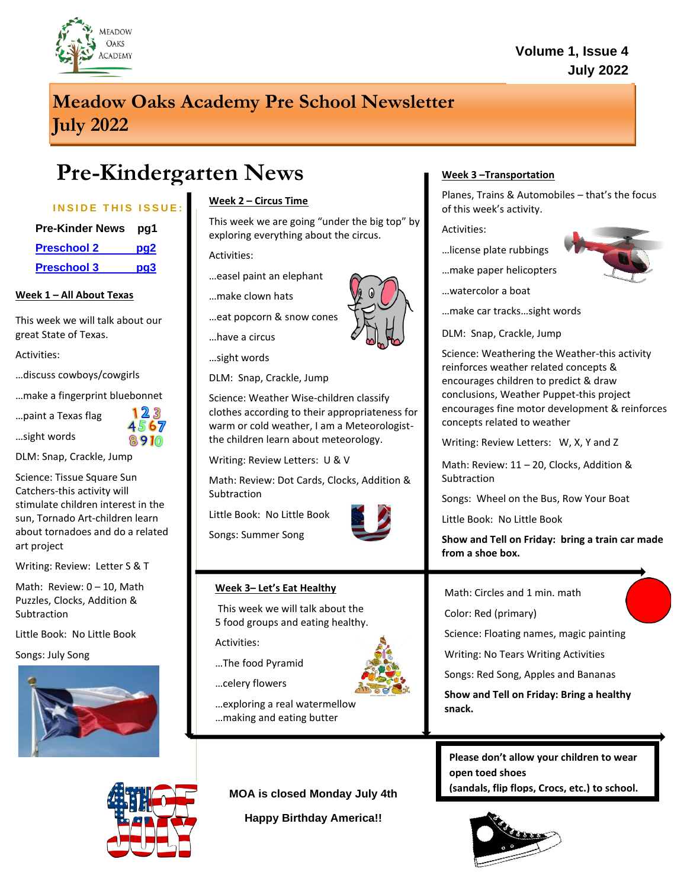

### **Volume 1, Issue 4 July 2022**

## **Meadow Oaks Academy Pre School Newsletter July 2022**

# **Pre-Kindergarten News**

#### **INSIDE THIS ISSUE:**

| <b>Pre-Kinder News</b> | pg1             |
|------------------------|-----------------|
| <b>Preschool 2</b>     | pq2             |
| <b>Preschool 3</b>     | pg <sub>3</sub> |

#### **Week 1 – All About Texas**

This week we will talk about our great State of Texas.

Activities:

…discuss cowboys/cowgirls

…make a fingerprint bluebonnet

…paint a Texas flag

…sight words



DLM: Snap, Crackle, Jump

Science: Tissue Square Sun Catchers-this activity will stimulate children interest in the sun, Tornado Art-children learn about tornadoes and do a related art project

Writing: Review: Letter S & T

Math: Review: 0 – 10, Math Puzzles, Clocks, Addition & Subtraction

Little Book: No Little Book

Songs: July Song



#### **Week 2 – Circus Time**

This week we are going "under the big top" by exploring everything about the circus.

Activities:

…easel paint an elephant

- …make clown hats
- …eat popcorn & snow cones



…sight words

DLM: Snap, Crackle, Jump

Science: Weather Wise-children classify clothes according to their appropriateness for warm or cold weather, I am a Meteorologistthe children learn about meteorology.

Writing: Review Letters: U & V

Math: Review: Dot Cards, Clocks, Addition & Subtraction

Little Book: No Little Book

Songs: Summer Song



#### **Week 3– Let's Eat Healthy**

This week we will talk about the 5 food groups and eating healthy.

Activities:

…The food Pyramid

- …celery flowers
- …exploring a real watermellow …making and eating butter

**MOA is closed Monday July 4th**

**Happy Birthday America!!**

#### **Week 3 –Transportation**

Planes, Trains & Automobiles – that's the focus of this week's activity.

Activities:

- …license plate rubbings
- …make paper helicopters

…watercolor a boat

…make car tracks…sight words

DLM: Snap, Crackle, Jump

Science: Weathering the Weather-this activity reinforces weather related concepts & encourages children to predict & draw conclusions, Weather Puppet-this project encourages fine motor development & reinforces concepts related to weather

Writing: Review Letters: W, X, Y and Z

Math: Review: 11 – 20, Clocks, Addition & **Subtraction** 

Songs: Wheel on the Bus, Row Your Boat

Little Book: No Little Book

**Show and Tell on Friday: bring a train car made from a shoe box.**

Math: Circles and 1 min. math

Color: Red (primary)

Science: Floating names, magic painting

Writing: No Tears Writing Activities

Songs: Red Song, Apples and Bananas

**Show and Tell on Friday: Bring a healthy snack.**

**Please don't allow your children to wear open toed shoes (sandals, flip flops, Crocs, etc.) to school.** 





**has to do with the circus**

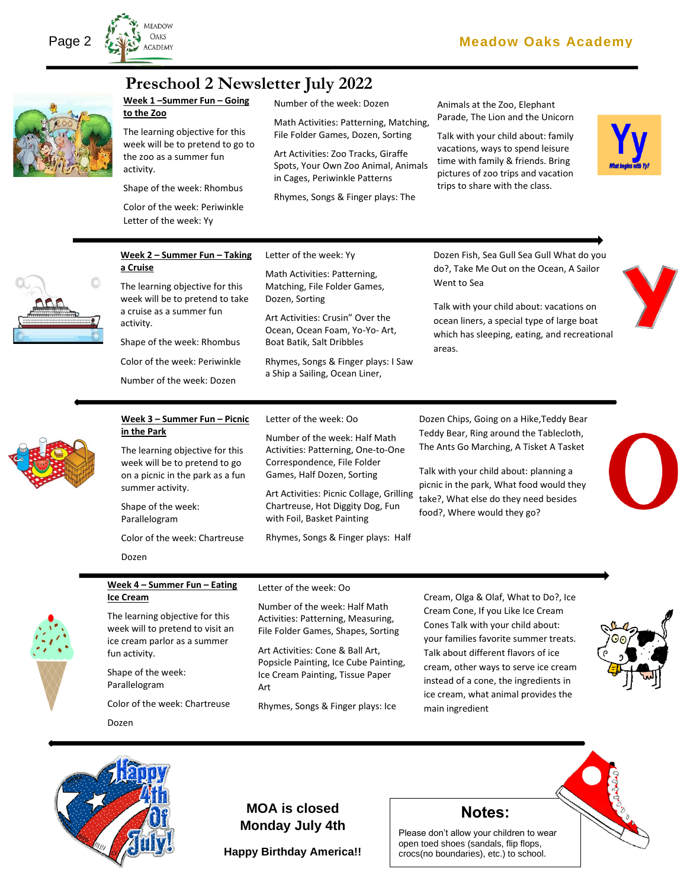



### **Preschool 2 Newsletter July 2022**

Number of the week: Dozen

Math Activities: Patterning, Matching, File Folder Games, Dozen, Sorting

Art Activities: Zoo Tracks, Giraffe Spots, Your Own Zoo Animal, Animals in Cages, Periwinkle Patterns

Rhymes, Songs & Finger plays: The

Animals at the Zoo, Elephant Parade, The Lion and the Unicorn

Talk with your child about: family vacations, ways to spend leisure time with family & friends. Bring pictures of zoo trips and vacation trips to share with the class.





#### **Week 2 – Summer Fun – Taking a Cruise**

**Week 1 –Summer Fun – Going** 

The learning objective for this week will be to pretend to go to the zoo as a summer fun

Shape of the week: Rhombus Color of the week: Periwinkle Letter of the week: Yy

**to the Zoo**

activity.

The learning objective for this week will be to pretend to take a cruise as a summer fun activity.

Shape of the week: Rhombus Color of the week: Periwinkle

Number of the week: Dozen

#### Letter of the week: Yy

Math Activities: Patterning, Matching, File Folder Games, Dozen, Sorting

Art Activities: Crusin" Over the Ocean, Ocean Foam, Yo-Yo- Art, Boat Batik, Salt Dribbles

Rhymes, Songs & Finger plays: I Saw a Ship a Sailing, Ocean Liner,

Dozen Fish, Sea Gull Sea Gull What do you do?, Take Me Out on the Ocean, A Sailor Went to Sea

Talk with your child about: vacations on ocean liners, a special type of large boat which has sleeping, eating, and recreational areas.

**Week 3 – Summer Fun – Picnic in the Park**

The learning objective for this week will be to pretend to go on a picnic in the park as a fun summer activity.

Shape of the week: Parallelogram

Dozen

Color of the week: Chartreuse

#### Letter of the week: Oo

Number of the week: Half Math Activities: Patterning, One-to-One Correspondence, File Folder Games, Half Dozen, Sorting

Art Activities: Picnic Collage, Grilling Chartreuse, Hot Diggity Dog, Fun with Foil, Basket Painting

Rhymes, Songs & Finger plays: Half

Dozen Chips, Going on a Hike,Teddy Bear Teddy Bear, Ring around the Tablecloth, The Ants Go Marching, A Tisket A Tasket

Talk with your child about: planning a picnic in the park, What food would they take?, What else do they need besides food?, Where would they go?



**Week 4 – Summer Fun – Eating Ice Cream**

The learning objective for this week will to pretend to visit an ice cream parlor as a summer fun activity.

Shape of the week: Parallelogram

Color of the week: Chartreuse

Dozen

#### Letter of the week: Oo

Number of the week: Half Math Activities: Patterning, Measuring, File Folder Games, Shapes, Sorting

Art Activities: Cone & Ball Art, Popsicle Painting, Ice Cube Painting, Ice Cream Painting, Tissue Paper Art

Rhymes, Songs & Finger plays: Ice

Cream, Olga & Olaf, What to Do?, Ice Cream Cone, If you Like Ice Cream Cones Talk with your child about: your families favorite summer treats. Talk about different flavors of ice cream, other ways to serve ice cream instead of a cone, the ingredients in ice cream, what animal provides the main ingredient





**MOA is closed Monday July 4th**

**Happy Birthday America!!**

### **Notes:**

Please don't allow your children to wear open toed shoes (sandals, flip flops, crocs(no boundaries), etc.) to school.

They need to wear *TENNIS SHOES*.